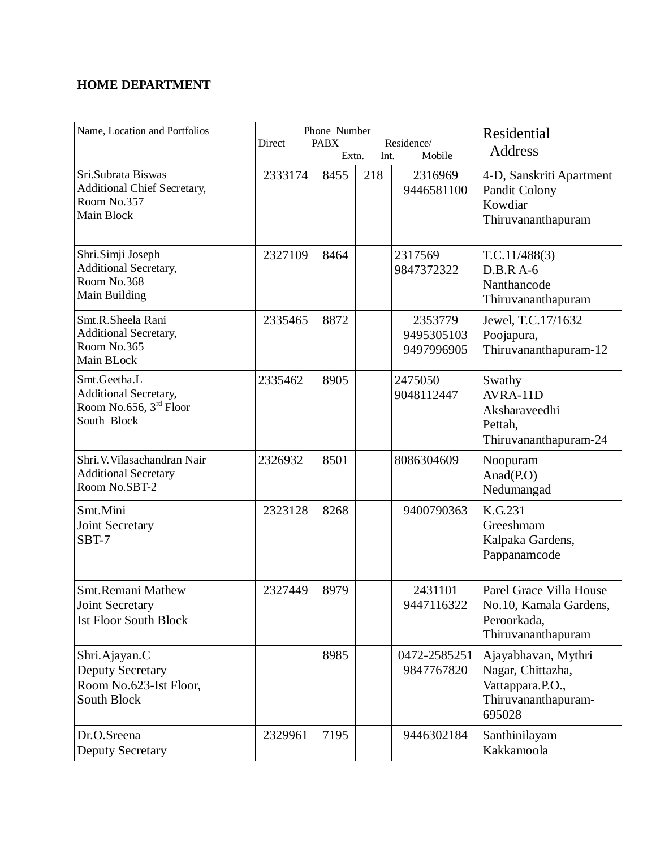## **HOME DEPARTMENT**

| Name, Location and Portfolios                                                            | Phone Number<br><b>PABX</b><br>Residence/<br>Direct<br>Mobile<br>Extn.<br>Int. |      |     |                                     | Residential<br><b>Address</b>                                                                 |
|------------------------------------------------------------------------------------------|--------------------------------------------------------------------------------|------|-----|-------------------------------------|-----------------------------------------------------------------------------------------------|
| Sri.Subrata Biswas<br>Additional Chief Secretary,<br>Room No.357<br>Main Block           | 2333174                                                                        | 8455 | 218 | 2316969<br>9446581100               | 4-D, Sanskriti Apartment<br>Pandit Colony<br>Kowdiar<br>Thiruvananthapuram                    |
| Shri.Simji Joseph<br>Additional Secretary,<br>Room No.368<br>Main Building               | 2327109                                                                        | 8464 |     | 2317569<br>9847372322               | T.C.11/488(3)<br>$D.B.R A-6$<br>Nanthancode<br>Thiruvananthapuram                             |
| Smt.R.Sheela Rani<br><b>Additional Secretary,</b><br>Room No.365<br>Main BLock           | 2335465                                                                        | 8872 |     | 2353779<br>9495305103<br>9497996905 | Jewel, T.C.17/1632<br>Poojapura,<br>Thiruvananthapuram-12                                     |
| Smt.Geetha.L<br>Additional Secretary,<br>Room No.656, 3rd Floor<br>South Block           | 2335462                                                                        | 8905 |     | 2475050<br>9048112447               | Swathy<br>$AVRA-11D$<br>Aksharaveedhi<br>Pettah,<br>Thiruvananthapuram-24                     |
| Shri. V. Vilasachandran Nair<br><b>Additional Secretary</b><br>Room No.SBT-2             | 2326932                                                                        | 8501 |     | 8086304609                          | Noopuram<br>Anad $(PO)$<br>Nedumangad                                                         |
| Smt.Mini<br>Joint Secretary<br>SBT-7                                                     | 2323128                                                                        | 8268 |     | 9400790363                          | K.G.231<br>Greeshmam<br>Kalpaka Gardens,<br>Pappanamcode                                      |
| <b>Smt.Remani Mathew</b><br>Joint Secretary<br><b>Ist Floor South Block</b>              | 2327449                                                                        | 8979 |     | 2431101<br>9447116322               | Parel Grace Villa House<br>No.10, Kamala Gardens,<br>Peroorkada,<br>Thiruvananthapuram        |
| Shri.Ajayan.C<br><b>Deputy Secretary</b><br>Room No.623-Ist Floor,<br><b>South Block</b> |                                                                                | 8985 |     | 0472-2585251<br>9847767820          | Ajayabhavan, Mythri<br>Nagar, Chittazha,<br>Vattappara.P.O.,<br>Thiruvananthapuram-<br>695028 |
| Dr.O.Sreena<br><b>Deputy Secretary</b>                                                   | 2329961                                                                        | 7195 |     | 9446302184                          | Santhinilayam<br>Kakkamoola                                                                   |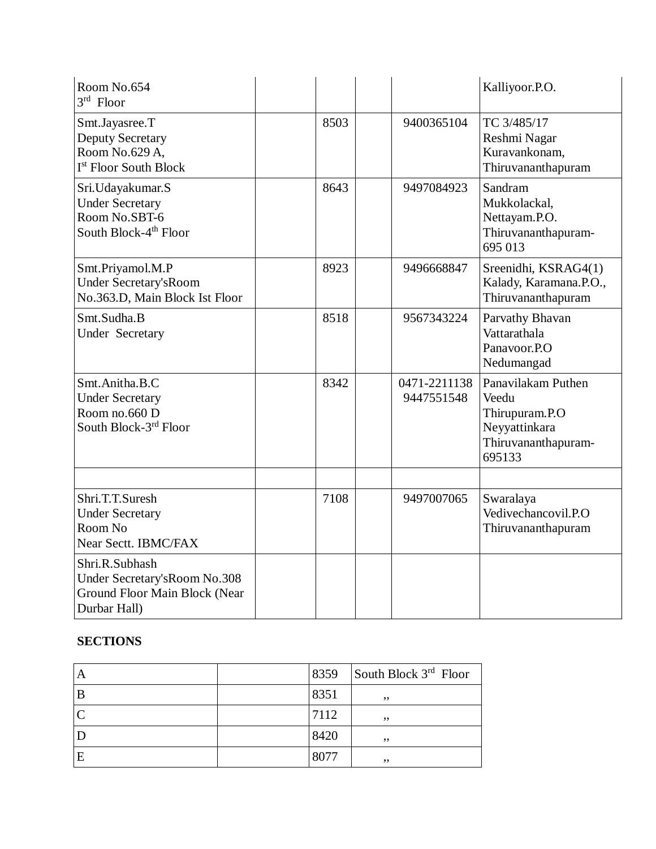| Room No.654<br>$3rd$ Floor                                                                       |      |                            | Kalliyoor.P.O.                                                                                  |
|--------------------------------------------------------------------------------------------------|------|----------------------------|-------------------------------------------------------------------------------------------------|
| Smt.Jayasree.T<br><b>Deputy Secretary</b><br>Room No.629 A,<br>I <sup>st</sup> Floor South Block | 8503 | 9400365104                 | TC 3/485/17<br>Reshmi Nagar<br>Kuravankonam,<br>Thiruvananthapuram                              |
| Sri.Udayakumar.S<br><b>Under Secretary</b><br>Room No.SBT-6<br>South Block-4 <sup>th</sup> Floor | 8643 | 9497084923                 | Sandram<br>Mukkolackal,<br>Nettayam.P.O.<br>Thiruvananthapuram-<br>695 013                      |
| Smt.Priyamol.M.P<br><b>Under Secretary's Room</b><br>No.363.D, Main Block Ist Floor              | 8923 | 9496668847                 | Sreenidhi, KSRAG4(1)<br>Kalady, Karamana.P.O.,<br>Thiruvananthapuram                            |
| Smt.Sudha.B<br><b>Under Secretary</b>                                                            | 8518 | 9567343224                 | Parvathy Bhavan<br>Vattarathala<br>Panavoor.P.O<br>Nedumangad                                   |
| Smt.Anitha.B.C<br><b>Under Secretary</b><br>Room no.660 D<br>South Block-3rd Floor               | 8342 | 0471-2211138<br>9447551548 | Panavilakam Puthen<br>Veedu<br>Thirupuram.P.O<br>Neyyattinkara<br>Thiruvananthapuram-<br>695133 |
|                                                                                                  |      |                            |                                                                                                 |
| Shri.T.T.Suresh<br><b>Under Secretary</b><br>Room No<br>Near Sectt. IBMC/FAX                     | 7108 | 9497007065                 | Swaralaya<br>Vedivechancovil.P.O<br>Thiruvananthapuram                                          |
| Shri.R.Subhash<br>Under Secretary's Room No.308<br>Ground Floor Main Block (Near<br>Durbar Hall) |      |                            |                                                                                                 |

## **SECTIONS**

| Α | 8359 | South Block $3rd$ Floor |
|---|------|-------------------------|
| B | 8351 | ,,                      |
|   | 7112 | ,,                      |
|   | 8420 | ,,                      |
| E | 8077 | ,,                      |